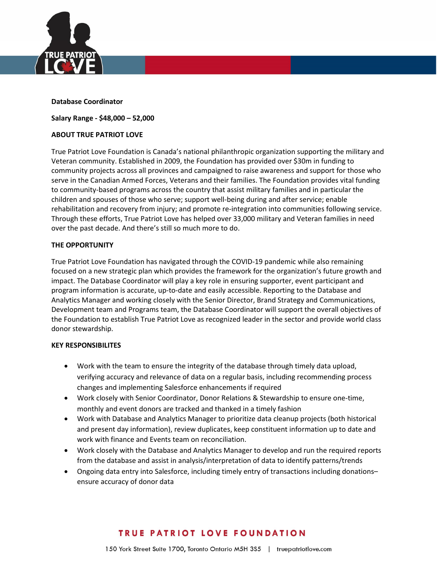

### Database Coordinator

Salary Range - \$48,000 – 52,000

### ABOUT TRUE PATRIOT LOVE

True Patriot Love Foundation is Canada's national philanthropic organization supporting the military and Veteran community. Established in 2009, the Foundation has provided over \$30m in funding to community projects across all provinces and campaigned to raise awareness and support for those who serve in the Canadian Armed Forces, Veterans and their families. The Foundation provides vital funding to community-based programs across the country that assist military families and in particular the children and spouses of those who serve; support well-being during and after service; enable rehabilitation and recovery from injury; and promote re-integration into communities following service. Through these efforts, True Patriot Love has helped over 33,000 military and Veteran families in need over the past decade. And there's still so much more to do.

#### THE OPPORTUNITY

True Patriot Love Foundation has navigated through the COVID-19 pandemic while also remaining focused on a new strategic plan which provides the framework for the organization's future growth and impact. The Database Coordinator will play a key role in ensuring supporter, event participant and program information is accurate, up-to-date and easily accessible. Reporting to the Database and Analytics Manager and working closely with the Senior Director, Brand Strategy and Communications, Development team and Programs team, the Database Coordinator will support the overall objectives of the Foundation to establish True Patriot Love as recognized leader in the sector and provide world class donor stewardship.

### KEY RESPONSIBILITES

- Work with the team to ensure the integrity of the database through timely data upload, verifying accuracy and relevance of data on a regular basis, including recommending process changes and implementing Salesforce enhancements if required
- Work closely with Senior Coordinator, Donor Relations & Stewardship to ensure one-time, monthly and event donors are tracked and thanked in a timely fashion
- Work with Database and Analytics Manager to prioritize data cleanup projects (both historical and present day information), review duplicates, keep constituent information up to date and work with finance and Events team on reconciliation.
- Work closely with the Database and Analytics Manager to develop and run the required reports from the database and assist in analysis/interpretation of data to identify patterns/trends
- Ongoing data entry into Salesforce, including timely entry of transactions including donations– ensure accuracy of donor data

# **TRUE PATRIOT LOVE FOUNDATION**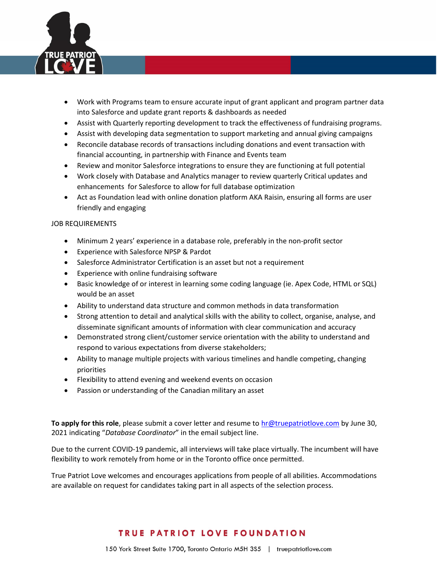

- Work with Programs team to ensure accurate input of grant applicant and program partner data into Salesforce and update grant reports & dashboards as needed
- Assist with Quarterly reporting development to track the effectiveness of fundraising programs.
- Assist with developing data segmentation to support marketing and annual giving campaigns
- Reconcile database records of transactions including donations and event transaction with financial accounting, in partnership with Finance and Events team
- Review and monitor Salesforce integrations to ensure they are functioning at full potential
- Work closely with Database and Analytics manager to review quarterly Critical updates and enhancements for Salesforce to allow for full database optimization
- Act as Foundation lead with online donation platform AKA Raisin, ensuring all forms are user friendly and engaging

### JOB REQUIREMENTS

- Minimum 2 years' experience in a database role, preferably in the non-profit sector
- Experience with Salesforce NPSP & Pardot
- Salesforce Administrator Certification is an asset but not a requirement
- Experience with online fundraising software
- Basic knowledge of or interest in learning some coding language (ie. Apex Code, HTML or SQL) would be an asset
- Ability to understand data structure and common methods in data transformation
- Strong attention to detail and analytical skills with the ability to collect, organise, analyse, and disseminate significant amounts of information with clear communication and accuracy
- Demonstrated strong client/customer service orientation with the ability to understand and respond to various expectations from diverse stakeholders;
- Ability to manage multiple projects with various timelines and handle competing, changing priorities
- Flexibility to attend evening and weekend events on occasion
- Passion or understanding of the Canadian military an asset

To apply for this role, please submit a cover letter and resume to hr@truepatriotlove.com by June 30, 2021 indicating "Database Coordinator" in the email subject line.

Due to the current COVID-19 pandemic, all interviews will take place virtually. The incumbent will have flexibility to work remotely from home or in the Toronto office once permitted.

True Patriot Love welcomes and encourages applications from people of all abilities. Accommodations are available on request for candidates taking part in all aspects of the selection process.

# **TRUE PATRIOT LOVE FOUNDATION**